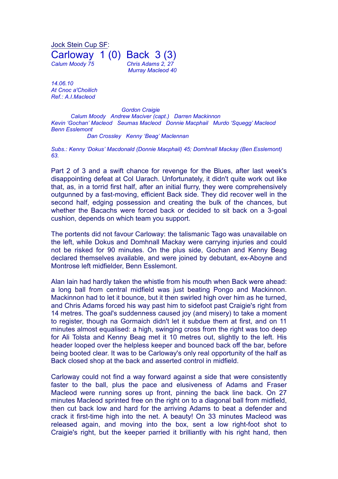Jock Stein Cup SF: Carloway 1 (0) Back 3 (3) *Calum Moody 75 Chris Adams 2, 27 Murray Macleod 40*

*14.06.10 At Cnoc a'Choilich Ref.: A.I.Macleod*

*Gordon Craigie Calum Moody Andrew Maciver (capt.) Darren Mackinnon Kevin 'Gochan' Macleod Seumas Macleod Donnie Macphail Murdo 'Squegg' Macleod Benn Esslemont*

*Dan Crossley Kenny 'Beag' Maclennan*

*Subs.: Kenny 'Dokus' Macdonald (Donnie Macphail) 45; Domhnall Mackay (Ben Esslemont) 63.*

Part 2 of 3 and a swift chance for revenge for the Blues, after last week's disappointing defeat at Col Uarach. Unfortunately, it didn't quite work out like that, as, in a torrid first half, after an initial flurry, they were comprehensively outgunned by a fast-moving, efficient Back side. They did recover well in the second half, edging possession and creating the bulk of the chances, but whether the Bacachs were forced back or decided to sit back on a 3-goal cushion, depends on which team you support.

The portents did not favour Carloway: the talismanic Tago was unavailable on the left, while Dokus and Domhnall Mackay were carrying injuries and could not be risked for 90 minutes. On the plus side, Gochan and Kenny Beag declared themselves available, and were joined by debutant, ex-Aboyne and Montrose left midfielder, Benn Esslemont.

Alan Iain had hardly taken the whistle from his mouth when Back were ahead: a long ball from central midfield was just beating Pongo and Mackinnon. Mackinnon had to let it bounce, but it then swirled high over him as he turned, and Chris Adams forced his way past him to sidefoot past Craigie's right from 14 metres. The goal's suddenness caused joy (and misery) to take a moment to register, though na Gormaich didn't let it subdue them at first, and on 11 minutes almost equalised: a high, swinging cross from the right was too deep for Ali Tolsta and Kenny Beag met it 10 metres out, slightly to the left. His header looped over the helpless keeper and bounced back off the bar, before being booted clear. It was to be Carloway's only real opportunity of the half as Back closed shop at the back and asserted control in midfield.

Carloway could not find a way forward against a side that were consistently faster to the ball, plus the pace and elusiveness of Adams and Fraser Macleod were running sores up front, pinning the back line back. On 27 minutes Macleod sprinted free on the right on to a diagonal ball from midfield, then cut back low and hard for the arriving Adams to beat a defender and crack it first-time high into the net. A beauty! On 33 minutes Macleod was released again, and moving into the box, sent a low right-foot shot to Craigie's right, but the keeper parried it brilliantly with his right hand, then